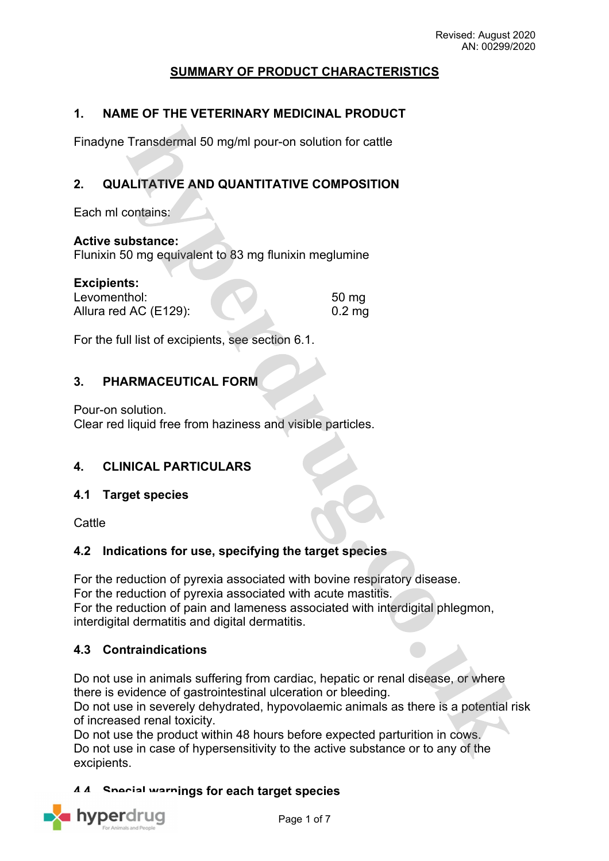# **SUMMARY OF PRODUCT CHARACTERISTICS**

#### **1. NAME OF THE VETERINARY MEDICINAL PRODUCT**

Finadyne Transdermal 50 mg/ml pour-on solution for cattle

# **2. QUALITATIVE AND QUANTITATIVE COMPOSITION**

Each ml contains:

**Active substance:**

Flunixin 50 mg equivalent to 83 mg flunixin meglumine

| <b>Excipients:</b>    |          |
|-----------------------|----------|
| Levomenthol:          | 50 mg    |
| Allura red AC (E129): | $0.2$ mg |

For the full list of excipients, see section 6.1.

### **3. PHARMACEUTICAL FORM**

Pour-on solution. Clear red liquid free from haziness and visible particles.

#### **4. CLINICAL PARTICULARS**

#### **4.1 Target species**

**Cattle** 

#### **4.2 Indications for use, specifying the target species**

For the reduction of pyrexia associated with bovine respiratory disease. For the reduction of pyrexia associated with acute mastitis. For the reduction of pain and lameness associated with interdigital phlegmon, interdigital dermatitis and digital dermatitis.

#### **4.3 Contraindications**

Do not use in animals suffering from cardiac, hepatic or renal disease, or where there is evidence of gastrointestinal ulceration or bleeding.

Do not use in severely dehydrated, hypovolaemic animals as there is a potential risk of increased renal toxicity.

Do not use the product within 48 hours before expected parturition in cows. Do not use in case of hypersensitivity to the active substance or to any of the excipients.

**4.4 Special warnings for each target species**

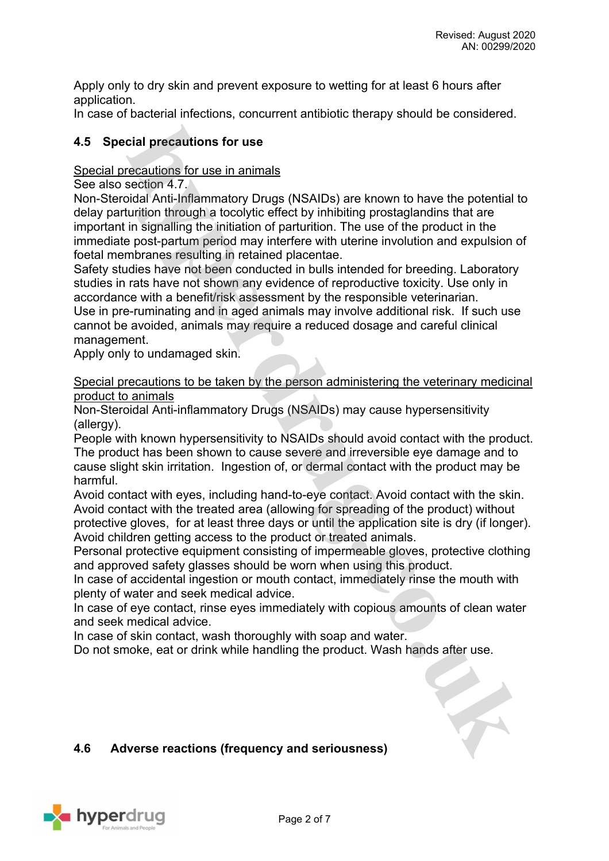Apply only to dry skin and prevent exposure to wetting for at least 6 hours after application.

In case of bacterial infections, concurrent antibiotic therapy should be considered.

### **4.5 Special precautions for use**

#### Special precautions for use in animals

See also section 4.7.

Non-Steroidal Anti-Inflammatory Drugs (NSAIDs) are known to have the potential to delay parturition through a tocolytic effect by inhibiting prostaglandins that are important in signalling the initiation of parturition. The use of the product in the immediate post-partum period may interfere with uterine involution and expulsion of foetal membranes resulting in retained placentae.

Safety studies have not been conducted in bulls intended for breeding. Laboratory studies in rats have not shown any evidence of reproductive toxicity. Use only in accordance with a benefit/risk assessment by the responsible veterinarian.

Use in pre-ruminating and in aged animals may involve additional risk. If such use cannot be avoided, animals may require a reduced dosage and careful clinical management.

Apply only to undamaged skin.

Special precautions to be taken by the person administering the veterinary medicinal product to animals

Non-Steroidal Anti-inflammatory Drugs (NSAIDs) may cause hypersensitivity (allergy).

People with known hypersensitivity to NSAIDs should avoid contact with the product. The product has been shown to cause severe and irreversible eye damage and to cause slight skin irritation. Ingestion of, or dermal contact with the product may be harmful.

Avoid contact with eyes, including hand-to-eye contact. Avoid contact with the skin. Avoid contact with the treated area (allowing for spreading of the product) without protective gloves, for at least three days or until the application site is dry (if longer). Avoid children getting access to the product or treated animals.

Personal protective equipment consisting of impermeable gloves, protective clothing and approved safety glasses should be worn when using this product.

In case of accidental ingestion or mouth contact, immediately rinse the mouth with plenty of water and seek medical advice.

In case of eye contact, rinse eyes immediately with copious amounts of clean water and seek medical advice.

In case of skin contact, wash thoroughly with soap and water.

Do not smoke, eat or drink while handling the product. Wash hands after use.

#### **4.6 Adverse reactions (frequency and seriousness)**

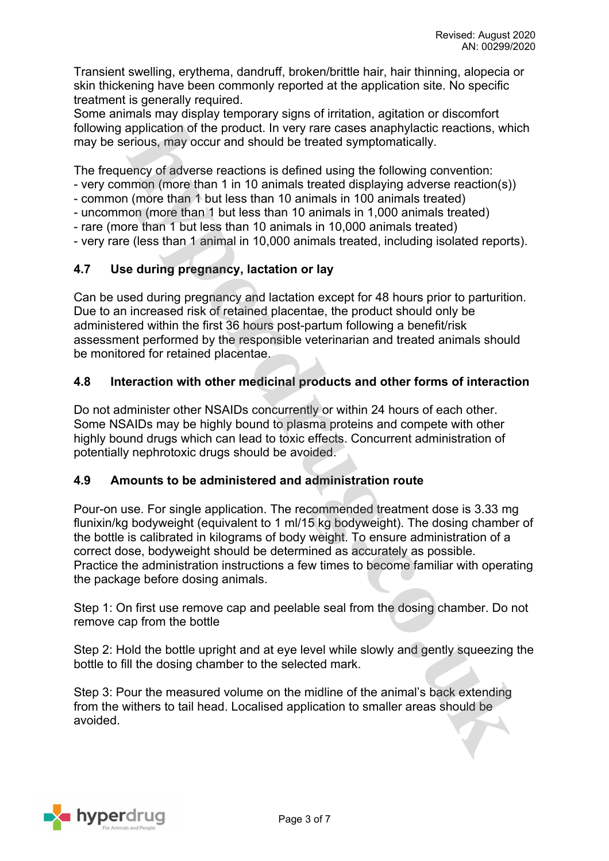Transient swelling, erythema, dandruff, broken/brittle hair, hair thinning, alopecia or skin thickening have been commonly reported at the application site. No specific treatment is generally required.

Some animals may display temporary signs of irritation, agitation or discomfort following application of the product. In very rare cases anaphylactic reactions, which may be serious, may occur and should be treated symptomatically.

The frequency of adverse reactions is defined using the following convention:

- very common (more than 1 in 10 animals treated displaying adverse reaction(s))

- common (more than 1 but less than 10 animals in 100 animals treated)

- uncommon (more than 1 but less than 10 animals in 1,000 animals treated)
- rare (more than 1 but less than 10 animals in 10,000 animals treated)

- very rare (less than 1 animal in 10,000 animals treated, including isolated reports).

# **4.7 Use during pregnancy, lactation or lay**

Can be used during pregnancy and lactation except for 48 hours prior to parturition. Due to an increased risk of retained placentae, the product should only be administered within the first 36 hours post-partum following a benefit/risk assessment performed by the responsible veterinarian and treated animals should be monitored for retained placentae.

# **4.8 Interaction with other medicinal products and other forms of interaction**

Do not administer other NSAIDs concurrently or within 24 hours of each other. Some NSAIDs may be highly bound to plasma proteins and compete with other highly bound drugs which can lead to toxic effects. Concurrent administration of potentially nephrotoxic drugs should be avoided.

#### **4.9 Amounts to be administered and administration route**

Pour-on use. For single application. The recommended treatment dose is 3.33 mg flunixin/kg bodyweight (equivalent to 1 ml/15 kg bodyweight). The dosing chamber of the bottle is calibrated in kilograms of body weight. To ensure administration of a correct dose, bodyweight should be determined as accurately as possible. Practice the administration instructions a few times to become familiar with operating the package before dosing animals.

Step 1: On first use remove cap and peelable seal from the dosing chamber. Do not remove cap from the bottle

Step 2: Hold the bottle upright and at eye level while slowly and gently squeezing the bottle to fill the dosing chamber to the selected mark.

Step 3: Pour the measured volume on the midline of the animal's back extending from the withers to tail head. Localised application to smaller areas should be avoided.

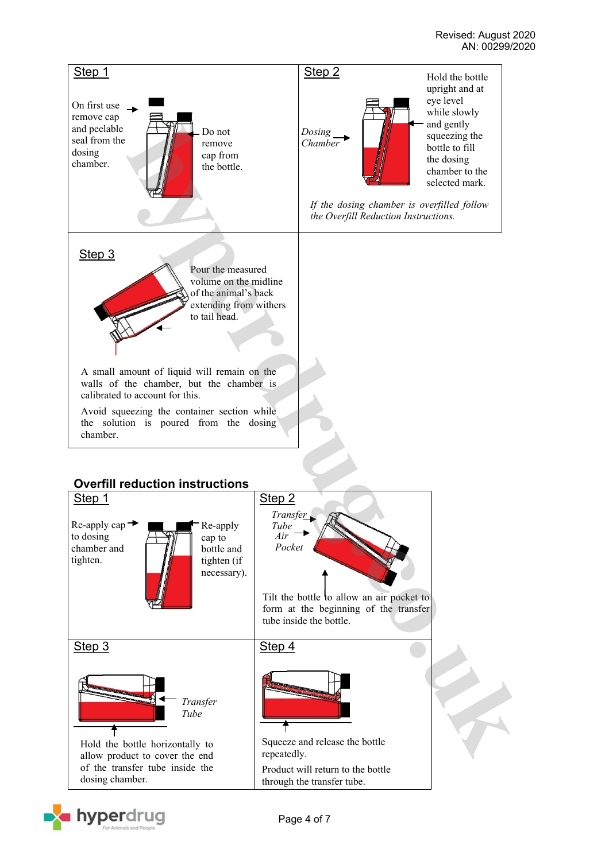

# **Overfill reduction instructions**



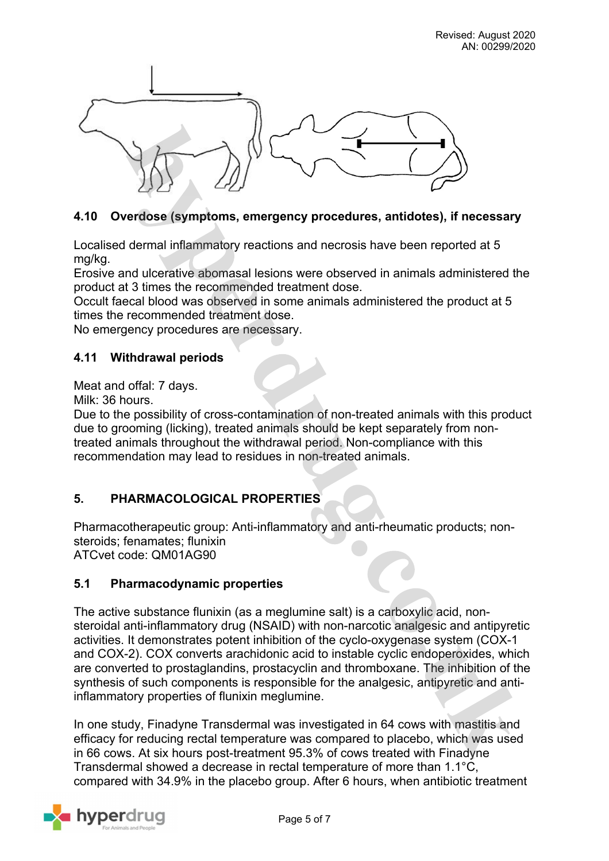

# **4.10 Overdose (symptoms, emergency procedures, antidotes), if necessary**

Localised dermal inflammatory reactions and necrosis have been reported at 5 mg/kg.

Erosive and ulcerative abomasal lesions were observed in animals administered the product at 3 times the recommended treatment dose.

Occult faecal blood was observed in some animals administered the product at 5 times the recommended treatment dose.

No emergency procedures are necessary.

#### **4.11 Withdrawal periods**

Meat and offal: 7 days.

Milk: 36 hours.

Due to the possibility of cross-contamination of non-treated animals with this product due to grooming (licking), treated animals should be kept separately from nontreated animals throughout the withdrawal period. Non-compliance with this recommendation may lead to residues in non-treated animals.

#### **5. PHARMACOLOGICAL PROPERTIES**

Pharmacotherapeutic group: Anti-inflammatory and anti-rheumatic products; nonsteroids; fenamates; flunixin ATCvet code: QM01AG90

#### **5.1 Pharmacodynamic properties**

The active substance flunixin (as a meglumine salt) is a carboxylic acid, nonsteroidal anti-inflammatory drug (NSAID) with non-narcotic analgesic and antipyretic activities. It demonstrates potent inhibition of the cyclo-oxygenase system (COX-1 and COX-2). COX converts arachidonic acid to instable cyclic endoperoxides, which are converted to prostaglandins, prostacyclin and thromboxane. The inhibition of the synthesis of such components is responsible for the analgesic, antipyretic and antiinflammatory properties of flunixin meglumine.

In one study, Finadyne Transdermal was investigated in 64 cows with mastitis and efficacy for reducing rectal temperature was compared to placebo, which was used in 66 cows. At six hours post-treatment 95.3% of cows treated with Finadyne Transdermal showed a decrease in rectal temperature of more than 1.1°C, compared with 34.9% in the placebo group. After 6 hours, when antibiotic treatment

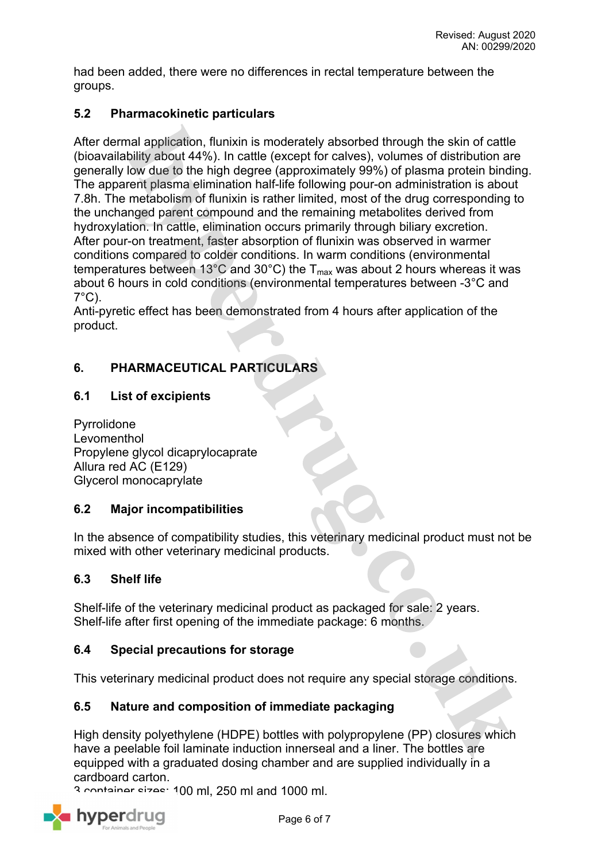had been added, there were no differences in rectal temperature between the groups.

### **5.2 Pharmacokinetic particulars**

After dermal application, flunixin is moderately absorbed through the skin of cattle (bioavailability about 44%). In cattle (except for calves), volumes of distribution are generally low due to the high degree (approximately 99%) of plasma protein binding. The apparent plasma elimination half-life following pour-on administration is about 7.8h. The metabolism of flunixin is rather limited, most of the drug corresponding to the unchanged parent compound and the remaining metabolites derived from hydroxylation. In cattle, elimination occurs primarily through biliary excretion. After pour-on treatment, faster absorption of flunixin was observed in warmer conditions compared to colder conditions. In warm conditions (environmental temperatures between 13°C and 30°C) the  $T_{max}$  was about 2 hours whereas it was about 6 hours in cold conditions (environmental temperatures between -3°C and  $7^{\circ}$ C).

Anti-pyretic effect has been demonstrated from 4 hours after application of the product.

# **6. PHARMACEUTICAL PARTICULARS**

#### **6.1 List of excipients**

Pyrrolidone Levomenthol Propylene glycol dicaprylocaprate Allura red AC (E129) Glycerol monocaprylate

#### **6.2 Major incompatibilities**

In the absence of compatibility studies, this veterinary medicinal product must not be mixed with other veterinary medicinal products.

#### **6.3 Shelf life**

Shelf-life of the veterinary medicinal product as packaged for sale: 2 years. Shelf-life after first opening of the immediate package: 6 months.

#### **6.4 Special precautions for storage**

This veterinary medicinal product does not require any special storage conditions.

#### **6.5 Nature and composition of immediate packaging**

High density polyethylene (HDPE) bottles with polypropylene (PP) closures which have a peelable foil laminate induction innerseal and a liner. The bottles are equipped with a graduated dosing chamber and are supplied individually in a cardboard carton.

3 container sizes: 100 ml, 250 ml and 1000 ml.